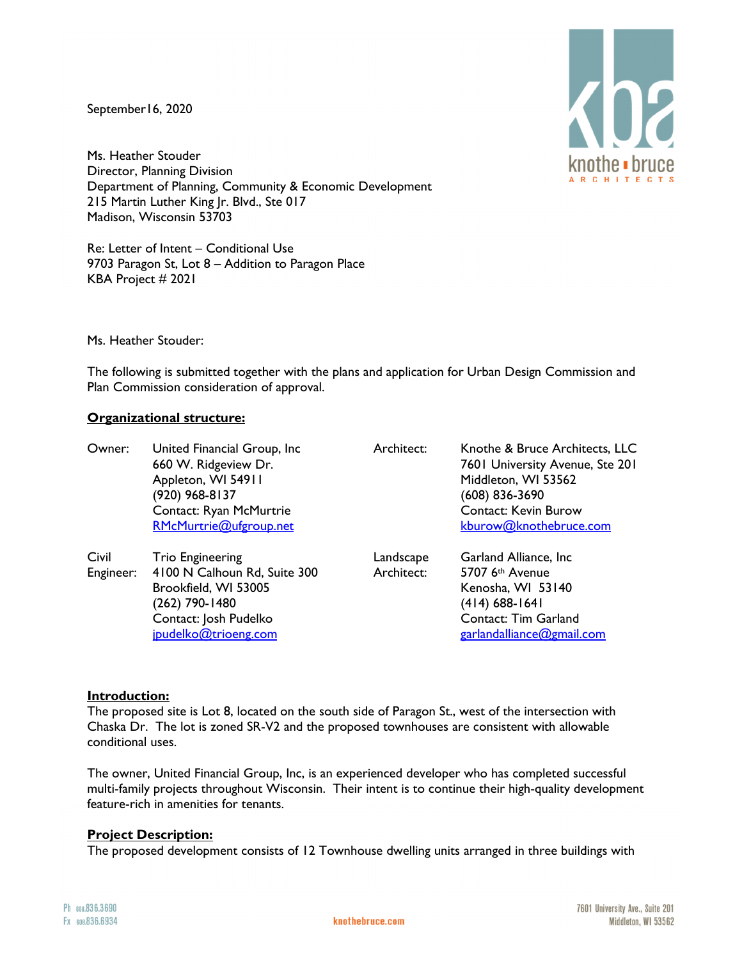September16, 2020

 $\langle$ ha knothe • bruce A R C H I T E C T :

Ms. Heather Stouder Director, Planning Division Department of Planning, Community & Economic Development 215 Martin Luther King Jr. Blvd., Ste 017 Madison, Wisconsin 53703

Re: Letter of Intent – Conditional Use 9703 Paragon St, Lot 8 – Addition to Paragon Place KBA Project # 2021

Ms. Heather Stouder:

The following is submitted together with the plans and application for Urban Design Commission and Plan Commission consideration of approval.

## **Organizational structure:**

| Owner:             | United Financial Group, Inc.<br>660 W. Ridgeview Dr.<br>Appleton, WI 54911<br>(920) 968-8137<br>Contact: Ryan McMurtrie<br>RMcMurtrie@ufgroup.net  | Architect:              | Knothe & Bruce Architects, LLC<br>7601 University Avenue, Ste 201<br>Middleton, WI 53562<br>(608) 836-3690<br><b>Contact: Kevin Burow</b><br>kburow@knothebruce.com |
|--------------------|----------------------------------------------------------------------------------------------------------------------------------------------------|-------------------------|---------------------------------------------------------------------------------------------------------------------------------------------------------------------|
| Civil<br>Engineer: | <b>Trio Engineering</b><br>4100 N Calhoun Rd, Suite 300<br>Brookfield, WI 53005<br>(262) 790-1480<br>Contact: Josh Pudelko<br>jpudelko@trioeng.com | Landscape<br>Architect: | Garland Alliance, Inc.<br>5707 6th Avenue<br>Kenosha, WI 53140<br>(414) 688-1641<br>Contact: Tim Garland<br>garlandalliance@gmail.com                               |

## **Introduction:**

The proposed site is Lot 8, located on the south side of Paragon St., west of the intersection with Chaska Dr. The lot is zoned SR-V2 and the proposed townhouses are consistent with allowable conditional uses.

The owner, United Financial Group, Inc, is an experienced developer who has completed successful multi-family projects throughout Wisconsin. Their intent is to continue their high-quality development feature-rich in amenities for tenants.

## **Project Description:**

The proposed development consists of 12 Townhouse dwelling units arranged in three buildings with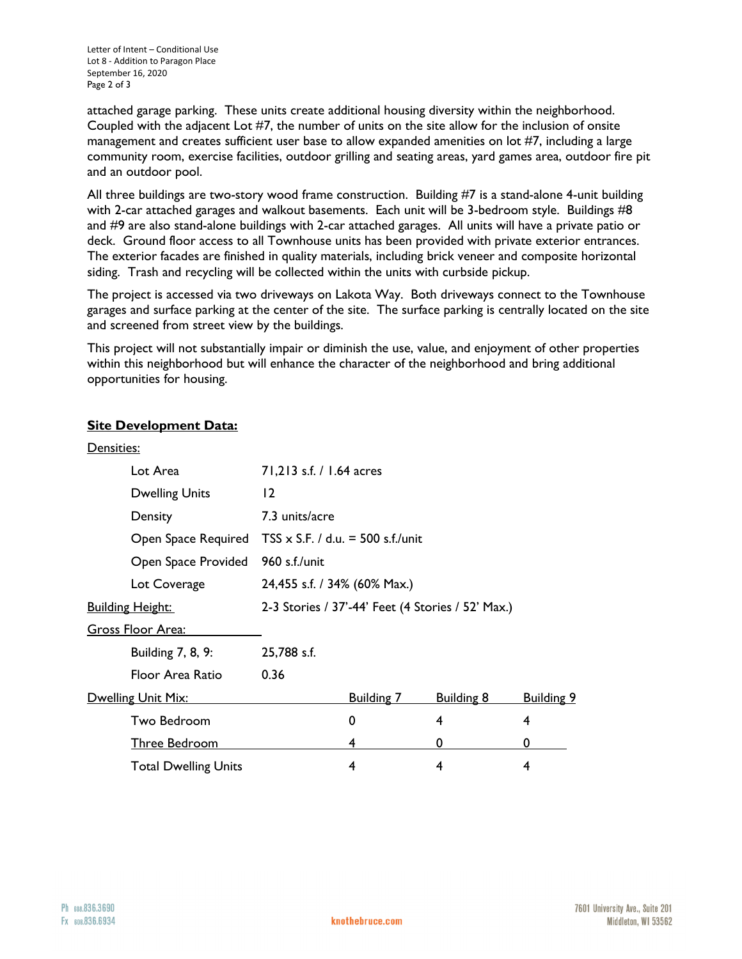attached garage parking. These units create additional housing diversity within the neighborhood. Coupled with the adjacent Lot #7, the number of units on the site allow for the inclusion of onsite management and creates sufficient user base to allow expanded amenities on lot #7, including a large community room, exercise facilities, outdoor grilling and seating areas, yard games area, outdoor fire pit and an outdoor pool.

All three buildings are two-story wood frame construction. Building #7 is a stand-alone 4-unit building with 2-car attached garages and walkout basements. Each unit will be 3-bedroom style. Buildings #8 and #9 are also stand-alone buildings with 2-car attached garages. All units will have a private patio or deck. Ground floor access to all Townhouse units has been provided with private exterior entrances. The exterior facades are finished in quality materials, including brick veneer and composite horizontal siding. Trash and recycling will be collected within the units with curbside pickup.

The project is accessed via two driveways on Lakota Way. Both driveways connect to the Townhouse garages and surface parking at the center of the site. The surface parking is centrally located on the site and screened from street view by the buildings.

This project will not substantially impair or diminish the use, value, and enjoyment of other properties within this neighborhood but will enhance the character of the neighborhood and bring additional opportunities for housing.

# **Site Development Data:**

| Densities:                  |                                                   |                                          |                   |                   |
|-----------------------------|---------------------------------------------------|------------------------------------------|-------------------|-------------------|
| Lot Area                    | 71,213 s.f. / 1.64 acres                          |                                          |                   |                   |
| <b>Dwelling Units</b>       | $ 2\rangle$                                       |                                          |                   |                   |
| Density                     | 7.3 units/acre                                    |                                          |                   |                   |
| Open Space Required         |                                                   | $TSS \times S.F.$ / d.u. = 500 s.f./unit |                   |                   |
| Open Space Provided         | 960 s.f./unit                                     |                                          |                   |                   |
| Lot Coverage                | 24,455 s.f. / 34% (60% Max.)                      |                                          |                   |                   |
| <b>Building Height:</b>     | 2-3 Stories / 37'-44' Feet (4 Stories / 52' Max.) |                                          |                   |                   |
| Gross Floor Area:           |                                                   |                                          |                   |                   |
| Building 7, 8, 9:           | 25,788 s.f.                                       |                                          |                   |                   |
| Floor Area Ratio            | 0.36                                              |                                          |                   |                   |
| <b>Dwelling Unit Mix:</b>   |                                                   | <b>Building 7</b>                        | <b>Building 8</b> | <b>Building 9</b> |
| Two Bedroom                 |                                                   | 0                                        | 4                 | 4                 |
| <b>Three Bedroom</b>        |                                                   | 4                                        | 0                 | 0                 |
| <b>Total Dwelling Units</b> |                                                   | 4                                        | 4                 | 4                 |